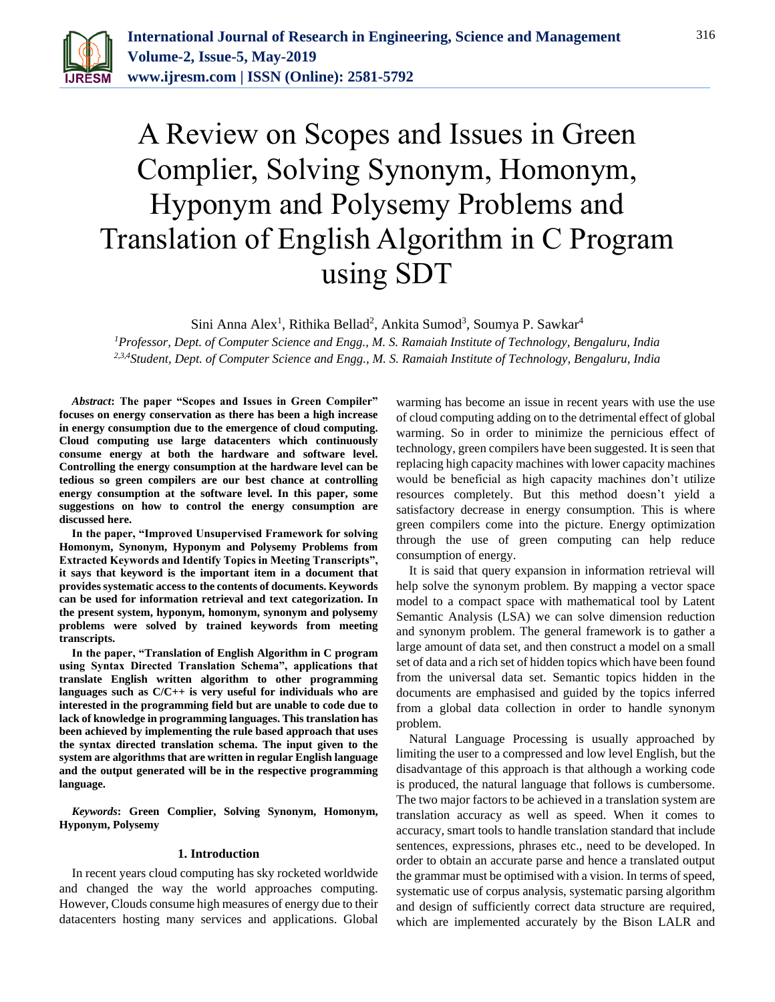

# A Review on Scopes and Issues in Green Complier, Solving Synonym, Homonym, Hyponym and Polysemy Problems and Translation of English Algorithm in C Program using SDT

Sini Anna Alex<sup>1</sup>, Rithika Bellad<sup>2</sup>, Ankita Sumod<sup>3</sup>, Soumya P. Sawkar<sup>4</sup>

*<sup>1</sup>Professor, Dept. of Computer Science and Engg., M. S. Ramaiah Institute of Technology, Bengaluru, India 2,3,4Student, Dept. of Computer Science and Engg., M. S. Ramaiah Institute of Technology, Bengaluru, India*

*Abstract***: The paper "Scopes and Issues in Green Compiler" focuses on energy conservation as there has been a high increase in energy consumption due to the emergence of cloud computing. Cloud computing use large datacenters which continuously consume energy at both the hardware and software level. Controlling the energy consumption at the hardware level can be tedious so green compilers are our best chance at controlling energy consumption at the software level. In this paper, some suggestions on how to control the energy consumption are discussed here.**

**In the paper, "Improved Unsupervised Framework for solving Homonym, Synonym, Hyponym and Polysemy Problems from Extracted Keywords and Identify Topics in Meeting Transcripts", it says that keyword is the important item in a document that provides systematic access to the contents of documents. Keywords can be used for information retrieval and text categorization. In the present system, hyponym, homonym, synonym and polysemy problems were solved by trained keywords from meeting transcripts.**

**In the paper, "Translation of English Algorithm in C program using Syntax Directed Translation Schema", applications that translate English written algorithm to other programming languages such as C/C++ is very useful for individuals who are interested in the programming field but are unable to code due to lack of knowledge in programming languages. This translation has been achieved by implementing the rule based approach that uses the syntax directed translation schema. The input given to the system are algorithms that are written in regular English language and the output generated will be in the respective programming language.**

*Keywords***: Green Complier, Solving Synonym, Homonym, Hyponym, Polysemy**

#### **1. Introduction**

In recent years cloud computing has sky rocketed worldwide and changed the way the world approaches computing. However, Clouds consume high measures of energy due to their datacenters hosting many services and applications. Global warming has become an issue in recent years with use the use of cloud computing adding on to the detrimental effect of global warming. So in order to minimize the pernicious effect of technology, green compilers have been suggested. It is seen that replacing high capacity machines with lower capacity machines would be beneficial as high capacity machines don't utilize resources completely. But this method doesn't yield a satisfactory decrease in energy consumption. This is where green compilers come into the picture. Energy optimization through the use of green computing can help reduce consumption of energy.

It is said that query expansion in information retrieval will help solve the synonym problem. By mapping a vector space model to a compact space with mathematical tool by Latent Semantic Analysis (LSA) we can solve dimension reduction and synonym problem. The general framework is to gather a large amount of data set, and then construct a model on a small set of data and a rich set of hidden topics which have been found from the universal data set. Semantic topics hidden in the documents are emphasised and guided by the topics inferred from a global data collection in order to handle synonym problem.

Natural Language Processing is usually approached by limiting the user to a compressed and low level English, but the disadvantage of this approach is that although a working code is produced, the natural language that follows is cumbersome. The two major factors to be achieved in a translation system are translation accuracy as well as speed. When it comes to accuracy, smart tools to handle translation standard that include sentences, expressions, phrases etc., need to be developed. In order to obtain an accurate parse and hence a translated output the grammar must be optimised with a vision. In terms of speed, systematic use of corpus analysis, systematic parsing algorithm and design of sufficiently correct data structure are required, which are implemented accurately by the Bison LALR and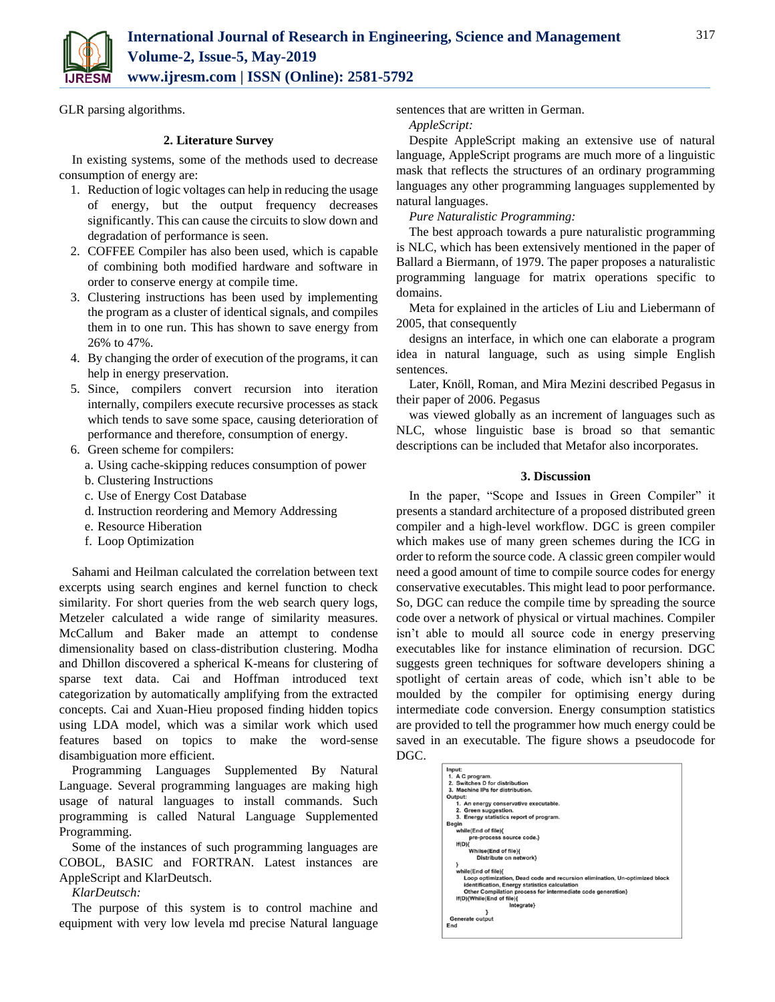

GLR parsing algorithms.

#### **2. Literature Survey**

In existing systems, some of the methods used to decrease consumption of energy are:

- 1. Reduction of logic voltages can help in reducing the usage of energy, but the output frequency decreases significantly. This can cause the circuits to slow down and degradation of performance is seen.
- 2. COFFEE Compiler has also been used, which is capable of combining both modified hardware and software in order to conserve energy at compile time.
- 3. Clustering instructions has been used by implementing the program as a cluster of identical signals, and compiles them in to one run. This has shown to save energy from 26% to 47%.
- 4. By changing the order of execution of the programs, it can help in energy preservation.
- 5. Since, compilers convert recursion into iteration internally, compilers execute recursive processes as stack which tends to save some space, causing deterioration of performance and therefore, consumption of energy.
- 6. Green scheme for compilers:
	- a. Using cache-skipping reduces consumption of power
	- b. Clustering Instructions
	- c. Use of Energy Cost Database
	- d. Instruction reordering and Memory Addressing
	- e. Resource Hiberation
	- f. Loop Optimization

Sahami and Heilman calculated the correlation between text excerpts using search engines and kernel function to check similarity. For short queries from the web search query logs, Metzeler calculated a wide range of similarity measures. McCallum and Baker made an attempt to condense dimensionality based on class-distribution clustering. Modha and Dhillon discovered a spherical K-means for clustering of sparse text data. Cai and Hoffman introduced text categorization by automatically amplifying from the extracted concepts. Cai and Xuan-Hieu proposed finding hidden topics using LDA model, which was a similar work which used features based on topics to make the word-sense disambiguation more efficient.

Programming Languages Supplemented By Natural Language. Several programming languages are making high usage of natural languages to install commands. Such programming is called Natural Language Supplemented Programming.

Some of the instances of such programming languages are COBOL, BASIC and FORTRAN. Latest instances are AppleScript and KlarDeutsch.

# *KlarDeutsch:*

The purpose of this system is to control machine and equipment with very low levela md precise Natural language sentences that are written in German.

*AppleScript:*

Despite AppleScript making an extensive use of natural language, AppleScript programs are much more of a linguistic mask that reflects the structures of an ordinary programming languages any other programming languages supplemented by natural languages.

*Pure Naturalistic Programming:*

The best approach towards a pure naturalistic programming is NLC, which has been extensively mentioned in the paper of Ballard a Biermann, of 1979. The paper proposes a naturalistic programming language for matrix operations specific to domains.

Meta for explained in the articles of Liu and Liebermann of 2005, that consequently

designs an interface, in which one can elaborate a program idea in natural language, such as using simple English sentences.

Later, Knöll, Roman, and Mira Mezini described Pegasus in their paper of 2006. Pegasus

was viewed globally as an increment of languages such as NLC, whose linguistic base is broad so that semantic descriptions can be included that Metafor also incorporates.

#### **3. Discussion**

In the paper, "Scope and Issues in Green Compiler" it presents a standard architecture of a proposed distributed green compiler and a high-level workflow. DGC is green compiler which makes use of many green schemes during the ICG in order to reform the source code. A classic green compiler would need a good amount of time to compile source codes for energy conservative executables. This might lead to poor performance. So, DGC can reduce the compile time by spreading the source code over a network of physical or virtual machines. Compiler isn't able to mould all source code in energy preserving executables like for instance elimination of recursion. DGC suggests green techniques for software developers shining a spotlight of certain areas of code, which isn't able to be moulded by the compiler for optimising energy during intermediate code conversion. Energy consumption statistics are provided to tell the programmer how much energy could be saved in an executable. The figure shows a pseudocode for DGC.

| Input:       |                                                                            |
|--------------|----------------------------------------------------------------------------|
|              | 1. A C program.                                                            |
|              | 2. Switches D for distribution                                             |
|              | 3. Machine IPs for distribution.                                           |
|              | Output:                                                                    |
|              | 1. An energy conservative executable.                                      |
|              | 2. Green suggestion.                                                       |
|              | 3. Energy statistics report of program.                                    |
| <b>Begin</b> |                                                                            |
|              | while(End of file){                                                        |
|              | pre-process source code.}                                                  |
|              | If(D)                                                                      |
|              | Whilse(End of file){                                                       |
|              | Distribute on network}                                                     |
|              |                                                                            |
|              | while(End of file){                                                        |
|              | Loop optimization, Dead code and recursion elimination, Un-optimized block |
|              | identification, Energy statistics calculation                              |
|              | Other Compilation process for intermediate code generation}                |
|              | If(D){While(End of file){                                                  |
|              | Integrate}                                                                 |
|              |                                                                            |
|              | Generate output                                                            |
| End          |                                                                            |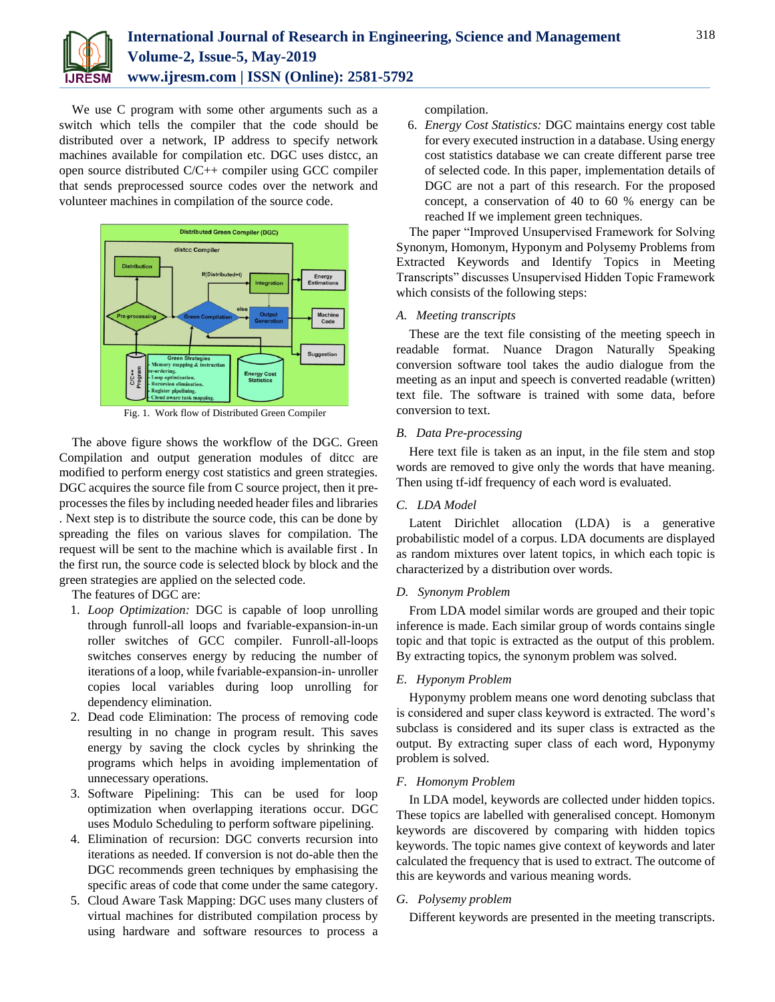

We use C program with some other arguments such as a switch which tells the compiler that the code should be distributed over a network, IP address to specify network machines available for compilation etc. DGC uses distcc, an open source distributed C/C++ compiler using GCC compiler that sends preprocessed source codes over the network and volunteer machines in compilation of the source code.



Fig. 1. Work flow of Distributed Green Compiler

The above figure shows the workflow of the DGC. Green Compilation and output generation modules of ditcc are modified to perform energy cost statistics and green strategies. DGC acquires the source file from C source project, then it preprocesses the files by including needed header files and libraries . Next step is to distribute the source code, this can be done by spreading the files on various slaves for compilation. The request will be sent to the machine which is available first . In the first run, the source code is selected block by block and the green strategies are applied on the selected code.

The features of DGC are:

- 1. *Loop Optimization:* DGC is capable of loop unrolling through funroll-all loops and fvariable-expansion-in-un roller switches of GCC compiler. Funroll-all-loops switches conserves energy by reducing the number of iterations of a loop, while fvariable-expansion-in- unroller copies local variables during loop unrolling for dependency elimination.
- 2. Dead code Elimination: The process of removing code resulting in no change in program result. This saves energy by saving the clock cycles by shrinking the programs which helps in avoiding implementation of unnecessary operations.
- 3. Software Pipelining: This can be used for loop optimization when overlapping iterations occur. DGC uses Modulo Scheduling to perform software pipelining.
- 4. Elimination of recursion: DGC converts recursion into iterations as needed. If conversion is not do-able then the DGC recommends green techniques by emphasising the specific areas of code that come under the same category.
- 5. Cloud Aware Task Mapping: DGC uses many clusters of virtual machines for distributed compilation process by using hardware and software resources to process a

compilation.

6. *Energy Cost Statistics:* DGC maintains energy cost table for every executed instruction in a database. Using energy cost statistics database we can create different parse tree of selected code. In this paper, implementation details of DGC are not a part of this research. For the proposed concept, a conservation of 40 to 60 % energy can be reached If we implement green techniques.

The paper "Improved Unsupervised Framework for Solving Synonym, Homonym, Hyponym and Polysemy Problems from Extracted Keywords and Identify Topics in Meeting Transcripts" discusses Unsupervised Hidden Topic Framework which consists of the following steps:

#### *A. Meeting transcripts*

These are the text file consisting of the meeting speech in readable format. Nuance Dragon Naturally Speaking conversion software tool takes the audio dialogue from the meeting as an input and speech is converted readable (written) text file. The software is trained with some data, before conversion to text.

# *B. Data Pre-processing*

Here text file is taken as an input, in the file stem and stop words are removed to give only the words that have meaning. Then using tf-idf frequency of each word is evaluated.

# *C. LDA Model*

Latent Dirichlet allocation (LDA) is a generative probabilistic model of a corpus. LDA documents are displayed as random mixtures over latent topics, in which each topic is characterized by a distribution over words.

# *D. Synonym Problem*

From LDA model similar words are grouped and their topic inference is made. Each similar group of words contains single topic and that topic is extracted as the output of this problem. By extracting topics, the synonym problem was solved.

# *E. Hyponym Problem*

Hyponymy problem means one word denoting subclass that is considered and super class keyword is extracted. The word's subclass is considered and its super class is extracted as the output. By extracting super class of each word, Hyponymy problem is solved.

#### *F. Homonym Problem*

In LDA model, keywords are collected under hidden topics. These topics are labelled with generalised concept. Homonym keywords are discovered by comparing with hidden topics keywords. The topic names give context of keywords and later calculated the frequency that is used to extract. The outcome of this are keywords and various meaning words.

# *G. Polysemy problem*

Different keywords are presented in the meeting transcripts.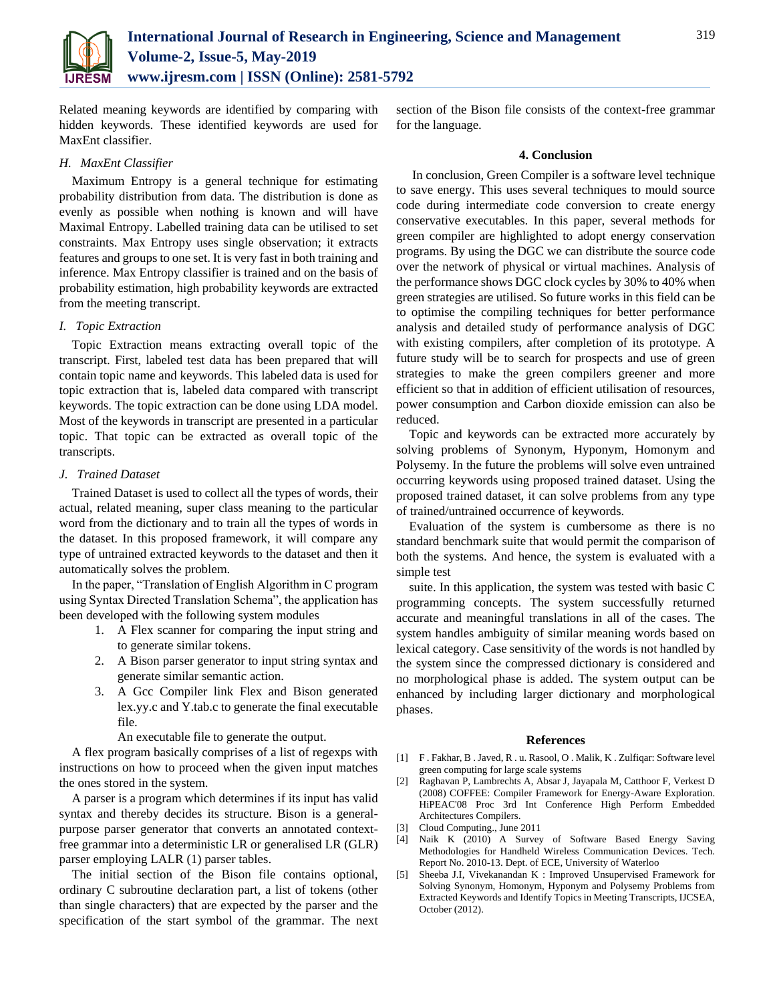

Related meaning keywords are identified by comparing with hidden keywords. These identified keywords are used for MaxEnt classifier.

### *H. MaxEnt Classifier*

Maximum Entropy is a general technique for estimating probability distribution from data. The distribution is done as evenly as possible when nothing is known and will have Maximal Entropy. Labelled training data can be utilised to set constraints. Max Entropy uses single observation; it extracts features and groups to one set. It is very fast in both training and inference. Max Entropy classifier is trained and on the basis of probability estimation, high probability keywords are extracted from the meeting transcript.

#### *I. Topic Extraction*

Topic Extraction means extracting overall topic of the transcript. First, labeled test data has been prepared that will contain topic name and keywords. This labeled data is used for topic extraction that is, labeled data compared with transcript keywords. The topic extraction can be done using LDA model. Most of the keywords in transcript are presented in a particular topic. That topic can be extracted as overall topic of the transcripts.

#### *J. Trained Dataset*

Trained Dataset is used to collect all the types of words, their actual, related meaning, super class meaning to the particular word from the dictionary and to train all the types of words in the dataset. In this proposed framework, it will compare any type of untrained extracted keywords to the dataset and then it automatically solves the problem.

In the paper, "Translation of English Algorithm in C program using Syntax Directed Translation Schema", the application has been developed with the following system modules

- 1. A Flex scanner for comparing the input string and to generate similar tokens.
- 2. A Bison parser generator to input string syntax and generate similar semantic action.
- 3. A Gcc Compiler link Flex and Bison generated lex.yy.c and Y.tab.c to generate the final executable file.

An executable file to generate the output.

A flex program basically comprises of a list of regexps with instructions on how to proceed when the given input matches the ones stored in the system.

A parser is a program which determines if its input has valid syntax and thereby decides its structure. Bison is a generalpurpose parser generator that converts an annotated contextfree grammar into a deterministic LR or generalised LR (GLR) parser employing LALR (1) parser tables.

The initial section of the Bison file contains optional, ordinary C subroutine declaration part, a list of tokens (other than single characters) that are expected by the parser and the specification of the start symbol of the grammar. The next section of the Bison file consists of the context-free grammar for the language.

#### **4. Conclusion**

In conclusion, Green Compiler is a software level technique to save energy. This uses several techniques to mould source code during intermediate code conversion to create energy conservative executables. In this paper, several methods for green compiler are highlighted to adopt energy conservation programs. By using the DGC we can distribute the source code over the network of physical or virtual machines. Analysis of the performance shows DGC clock cycles by 30% to 40% when green strategies are utilised. So future works in this field can be to optimise the compiling techniques for better performance analysis and detailed study of performance analysis of DGC with existing compilers, after completion of its prototype. A future study will be to search for prospects and use of green strategies to make the green compilers greener and more efficient so that in addition of efficient utilisation of resources, power consumption and Carbon dioxide emission can also be reduced.

Topic and keywords can be extracted more accurately by solving problems of Synonym, Hyponym, Homonym and Polysemy. In the future the problems will solve even untrained occurring keywords using proposed trained dataset. Using the proposed trained dataset, it can solve problems from any type of trained/untrained occurrence of keywords.

Evaluation of the system is cumbersome as there is no standard benchmark suite that would permit the comparison of both the systems. And hence, the system is evaluated with a simple test

suite. In this application, the system was tested with basic C programming concepts. The system successfully returned accurate and meaningful translations in all of the cases. The system handles ambiguity of similar meaning words based on lexical category. Case sensitivity of the words is not handled by the system since the compressed dictionary is considered and no morphological phase is added. The system output can be enhanced by including larger dictionary and morphological phases.

#### **References**

- [1] F . Fakhar, B . Javed, R . u. Rasool, O . Malik, K . Zulfiqar: Software level green computing for large scale systems
- [2] Raghavan P, Lambrechts A, Absar J, Jayapala M, Catthoor F, Verkest D (2008) COFFEE: Compiler Framework for Energy-Aware Exploration. HiPEAC'08 Proc 3rd Int Conference High Perform Embedded Architectures Compilers.
- [3] Cloud Computing., June 2011
- [4] Naik K (2010) A Survey of Software Based Energy Saving Methodologies for Handheld Wireless Communication Devices. Tech. Report No. 2010-13. Dept. of ECE, University of Waterloo
- [5] Sheeba J.I, Vivekanandan K : Improved Unsupervised Framework for Solving Synonym, Homonym, Hyponym and Polysemy Problems from Extracted Keywords and Identify Topics in Meeting Transcripts, IJCSEA, October (2012).